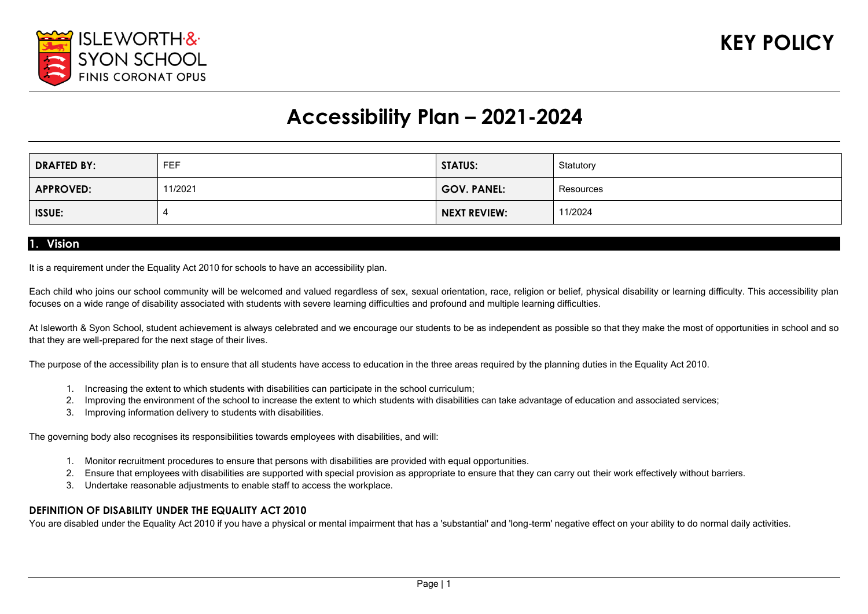

# **Accessibility Plan – 2021-2024**

| <b>DRAFTED BY:</b> | FEF    | <b>STATUS:</b>      | Statutory |
|--------------------|--------|---------------------|-----------|
| <b>APPROVED:</b>   | 1/2021 | <b>GOV. PANEL:</b>  | Resources |
| <b>ISSUE:</b>      |        | <b>NEXT REVIEW:</b> | 11/2024   |

#### **1. Vision**

It is a requirement under the Equality Act 2010 for schools to have an accessibility plan.

Each child who joins our school community will be welcomed and valued regardless of sex, sexual orientation, race, religion or belief, physical disability or learning difficulty. This accessibility plan focuses on a wide range of disability associated with students with severe learning difficulties and profound and multiple learning difficulties.

At Isleworth & Syon School, student achievement is always celebrated and we encourage our students to be as independent as possible so that they make the most of opportunities in school and so that they are well-prepared for the next stage of their lives.

The purpose of the accessibility plan is to ensure that all students have access to education in the three areas required by the planning duties in the Equality Act 2010.

- 1. Increasing the extent to which students with disabilities can participate in the school curriculum;
- 2. Improving the environment of the school to increase the extent to which students with disabilities can take advantage of education and associated services;
- 3. Improving information delivery to students with disabilities.

The governing body also recognises its responsibilities towards employees with disabilities, and will:

- 1. Monitor recruitment procedures to ensure that persons with disabilities are provided with equal opportunities.
- 2. Ensure that employees with disabilities are supported with special provision as appropriate to ensure that they can carry out their work effectively without barriers.
- 3. Undertake reasonable adjustments to enable staff to access the workplace.

#### **DEFINITION OF DISABILITY UNDER THE EQUALITY ACT 2010**

You are disabled under the Equality Act 2010 if you have a physical or mental impairment that has a 'substantial' and 'long-term' negative effect on your ability to do normal daily activities.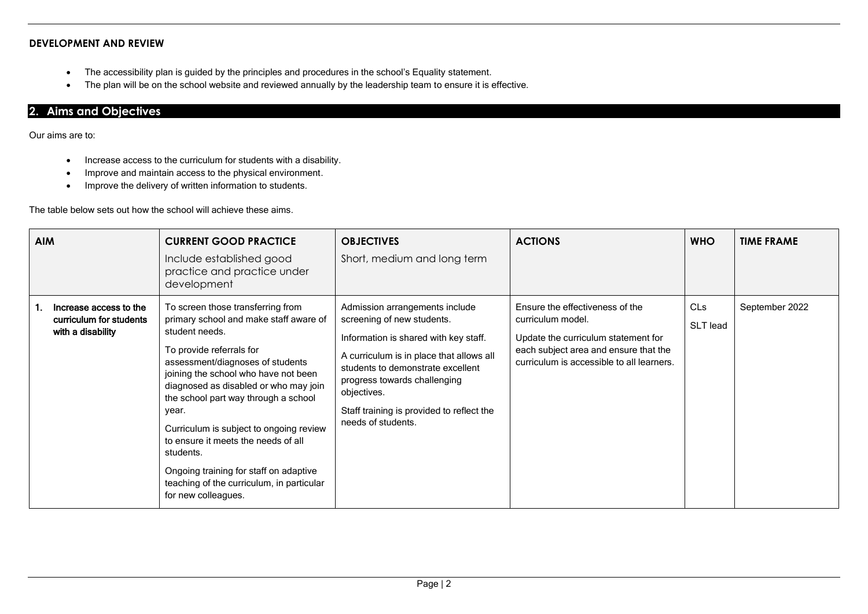#### **DEVELOPMENT AND REVIEW**

- The accessibility plan is guided by the principles and procedures in the school's Equality statement.
- The plan will be on the school website and reviewed annually by the leadership team to ensure it is effective.

#### **2. Aims and Objectives**

Our aims are to:

- Increase access to the curriculum for students with a disability.
- Improve and maintain access to the physical environment.
- Improve the delivery of written information to students.

The table below sets out how the school will achieve these aims.

| <b>AIM</b>                                                             | <b>CURRENT GOOD PRACTICE</b><br>Include established good<br>practice and practice under<br>development                                                                                                                                                                                                                                                                                                                                                                                                       | <b>OBJECTIVES</b><br>Short, medium and long term                                                                                                                                                                                                                                                         | <b>ACTIONS</b>                                                                                                                                                                    | <b>WHO</b>             | <b>TIME FRAME</b> |
|------------------------------------------------------------------------|--------------------------------------------------------------------------------------------------------------------------------------------------------------------------------------------------------------------------------------------------------------------------------------------------------------------------------------------------------------------------------------------------------------------------------------------------------------------------------------------------------------|----------------------------------------------------------------------------------------------------------------------------------------------------------------------------------------------------------------------------------------------------------------------------------------------------------|-----------------------------------------------------------------------------------------------------------------------------------------------------------------------------------|------------------------|-------------------|
| Increase access to the<br>curriculum for students<br>with a disability | To screen those transferring from<br>primary school and make staff aware of<br>student needs.<br>To provide referrals for<br>assessment/diagnoses of students<br>joining the school who have not been<br>diagnosed as disabled or who may join<br>the school part way through a school<br>year.<br>Curriculum is subject to ongoing review<br>to ensure it meets the needs of all<br>students.<br>Ongoing training for staff on adaptive<br>teaching of the curriculum, in particular<br>for new colleagues. | Admission arrangements include<br>screening of new students.<br>Information is shared with key staff.<br>A curriculum is in place that allows all<br>students to demonstrate excellent<br>progress towards challenging<br>objectives.<br>Staff training is provided to reflect the<br>needs of students. | Ensure the effectiveness of the<br>curriculum model.<br>Update the curriculum statement for<br>each subject area and ensure that the<br>curriculum is accessible to all learners. | <b>CLs</b><br>SLT lead | September 2022    |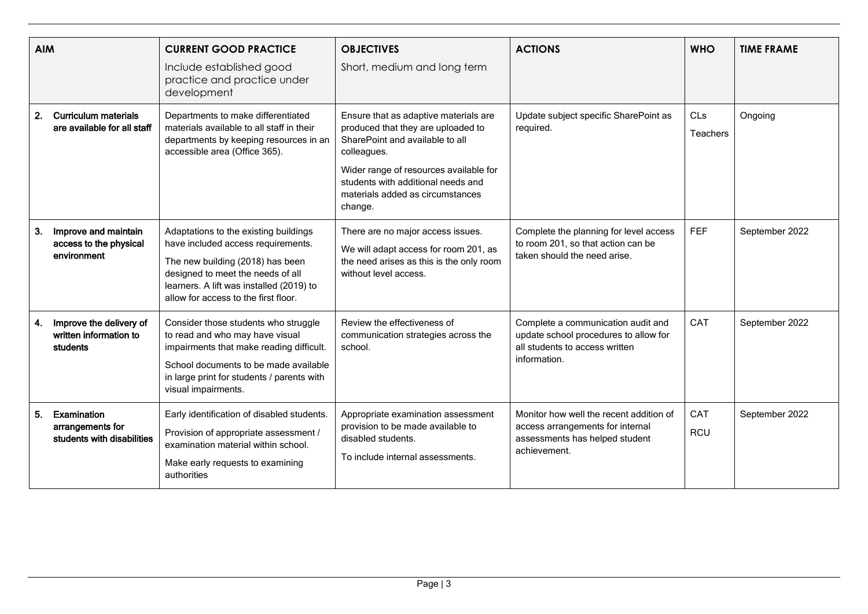| <b>AIM</b> |                                                               | <b>CURRENT GOOD PRACTICE</b><br>Include established good<br>practice and practice under<br>development                                                                                                                                   | <b>OBJECTIVES</b><br>Short, medium and long term                                                                                                                                                                                                             | <b>ACTIONS</b>                                                                                                                | <b>WHO</b>        | <b>TIME FRAME</b> |
|------------|---------------------------------------------------------------|------------------------------------------------------------------------------------------------------------------------------------------------------------------------------------------------------------------------------------------|--------------------------------------------------------------------------------------------------------------------------------------------------------------------------------------------------------------------------------------------------------------|-------------------------------------------------------------------------------------------------------------------------------|-------------------|-------------------|
| 2.         | <b>Curriculum materials</b><br>are available for all staff    | Departments to make differentiated<br>materials available to all staff in their<br>departments by keeping resources in an<br>accessible area (Office 365).                                                                               | Ensure that as adaptive materials are<br>produced that they are uploaded to<br>SharePoint and available to all<br>colleagues.<br>Wider range of resources available for<br>students with additional needs and<br>materials added as circumstances<br>change. | Update subject specific SharePoint as<br>required.                                                                            | CLs<br>Teachers   | Ongoing           |
| 3.         | Improve and maintain<br>access to the physical<br>environment | Adaptations to the existing buildings<br>have included access requirements.<br>The new building (2018) has been<br>designed to meet the needs of all<br>learners. A lift was installed (2019) to<br>allow for access to the first floor. | There are no major access issues.<br>We will adapt access for room 201, as<br>the need arises as this is the only room<br>without level access.                                                                                                              | Complete the planning for level access<br>to room 201, so that action can be<br>taken should the need arise.                  | <b>FEF</b>        | September 2022    |
| 4.         | Improve the delivery of<br>written information to<br>students | Consider those students who struggle<br>to read and who may have visual<br>impairments that make reading difficult.<br>School documents to be made available<br>in large print for students / parents with<br>visual impairments.        | Review the effectiveness of<br>communication strategies across the<br>school.                                                                                                                                                                                | Complete a communication audit and<br>update school procedures to allow for<br>all students to access written<br>information. | CAT               | September 2022    |
| 5.         | Examination<br>arrangements for<br>students with disabilities | Early identification of disabled students.<br>Provision of appropriate assessment /<br>examination material within school.<br>Make early requests to examining<br>authorities                                                            | Appropriate examination assessment<br>provision to be made available to<br>disabled students.<br>To include internal assessments.                                                                                                                            | Monitor how well the recent addition of<br>access arrangements for internal<br>assessments has helped student<br>achievement. | CAT<br><b>RCU</b> | September 2022    |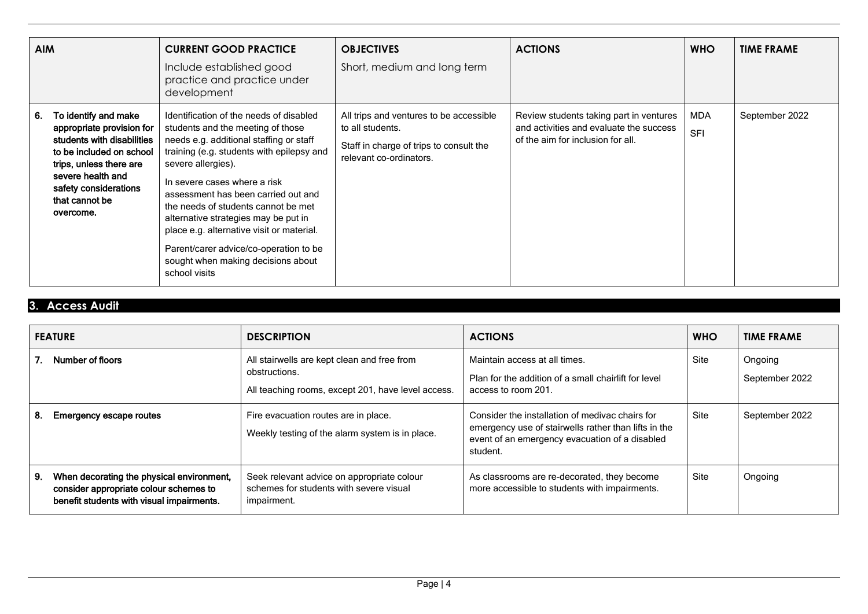| <b>AIM</b>                                                                                                                                                                                                                | <b>CURRENT GOOD PRACTICE</b><br>Include established good<br>practice and practice under<br>development                                                                                                                                                                                                                                                                                                                                                                                         | <b>OBJECTIVES</b><br>Short, medium and long term                                                                                  | <b>ACTIONS</b>                                                                                                          | <b>WHO</b>        | <b>TIME FRAME</b> |
|---------------------------------------------------------------------------------------------------------------------------------------------------------------------------------------------------------------------------|------------------------------------------------------------------------------------------------------------------------------------------------------------------------------------------------------------------------------------------------------------------------------------------------------------------------------------------------------------------------------------------------------------------------------------------------------------------------------------------------|-----------------------------------------------------------------------------------------------------------------------------------|-------------------------------------------------------------------------------------------------------------------------|-------------------|-------------------|
| To identify and make<br>6.<br>appropriate provision for<br>students with disabilities<br>to be included on school<br>trips, unless there are<br>severe health and<br>safety considerations<br>that cannot be<br>overcome. | Identification of the needs of disabled<br>students and the meeting of those<br>needs e.g. additional staffing or staff<br>training (e.g. students with epilepsy and<br>severe allergies).<br>In severe cases where a risk<br>assessment has been carried out and<br>the needs of students cannot be met<br>alternative strategies may be put in<br>place e.g. alternative visit or material.<br>Parent/carer advice/co-operation to be<br>sought when making decisions about<br>school visits | All trips and ventures to be accessible<br>to all students.<br>Staff in charge of trips to consult the<br>relevant co-ordinators. | Review students taking part in ventures<br>and activities and evaluate the success<br>of the aim for inclusion for all. | MDA<br><b>SFI</b> | September 2022    |

## **3. Access Audit**

| <b>FEATURE</b> |                                                                                                                                  | <b>DESCRIPTION</b>                                                                                                 | <b>ACTIONS</b>                                                                                                                                                        | <b>WHO</b> | <b>TIME FRAME</b>         |
|----------------|----------------------------------------------------------------------------------------------------------------------------------|--------------------------------------------------------------------------------------------------------------------|-----------------------------------------------------------------------------------------------------------------------------------------------------------------------|------------|---------------------------|
|                | Number of floors                                                                                                                 | All stairwells are kept clean and free from<br>obstructions.<br>All teaching rooms, except 201, have level access. | Maintain access at all times.<br>Plan for the addition of a small chairlift for level<br>access to room 201.                                                          | Site       | Ongoing<br>September 2022 |
| 8.             | <b>Emergency escape routes</b>                                                                                                   | Fire evacuation routes are in place.<br>Weekly testing of the alarm system is in place.                            | Consider the installation of medivac chairs for<br>emergency use of stairwells rather than lifts in the<br>event of an emergency evacuation of a disabled<br>student. | Site       | September 2022            |
| 9.             | When decorating the physical environment,<br>consider appropriate colour schemes to<br>benefit students with visual impairments. | Seek relevant advice on appropriate colour<br>schemes for students with severe visual<br>impairment.               | As classrooms are re-decorated, they become<br>more accessible to students with impairments.                                                                          | Site       | Ongoing                   |